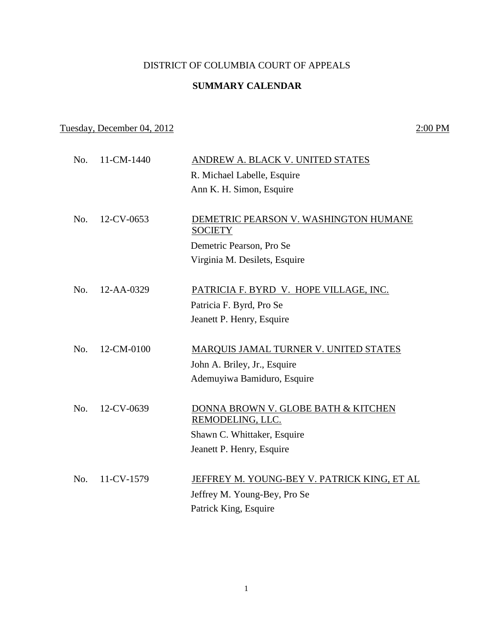## DISTRICT OF COLUMBIA COURT OF APPEALS

## **SUMMARY CALENDAR**

## Tuesday, December 04, 2012 2:00 PM

 No. 11-CM-1440 ANDREW A. BLACK V. UNITED STATES R. Michael Labelle, Esquire Ann K. H. Simon, Esquire No. 12-CV-0653 DEMETRIC PEARSON V. WASHINGTON HUMANE **SOCIETY** Demetric Pearson, Pro Se Virginia M. Desilets, Esquire No. 12-AA-0329 PATRICIA F. BYRD V. HOPE VILLAGE, INC. Patricia F. Byrd, Pro Se Jeanett P. Henry, Esquire No. 12-CM-0100 MARQUIS JAMAL TURNER V. UNITED STATES John A. Briley, Jr., Esquire Ademuyiwa Bamiduro, Esquire No. 12-CV-0639 DONNA BROWN V. GLOBE BATH & KITCHEN REMODELING, LLC. Shawn C. Whittaker, Esquire Jeanett P. Henry, Esquire No. 11-CV-1579 JEFFREY M. YOUNG-BEY V. PATRICK KING, ET AL Jeffrey M. Young-Bey, Pro Se Patrick King, Esquire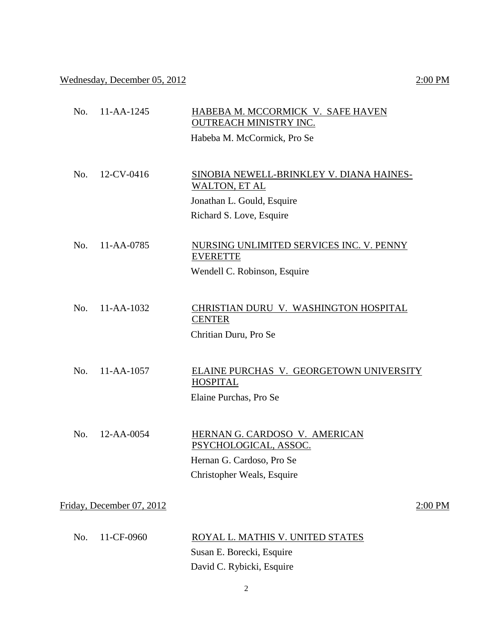Wednesday, December 05, 2012 2:00 PM

| No. | $11 - AA - 1245$          | HABEBA M. MCCORMICK V. SAFE HAVEN<br><b>OUTREACH MINISTRY INC.</b>                                                         |           |
|-----|---------------------------|----------------------------------------------------------------------------------------------------------------------------|-----------|
|     |                           | Habeba M. McCormick, Pro Se                                                                                                |           |
| No. | 12-CV-0416                | SINOBIA NEWELL-BRINKLEY V. DIANA HAINES-<br><b>WALTON, ET AL</b><br>Jonathan L. Gould, Esquire<br>Richard S. Love, Esquire |           |
| No. | 11-AA-0785                | NURSING UNLIMITED SERVICES INC. V. PENNY<br><b>EVERETTE</b><br>Wendell C. Robinson, Esquire                                |           |
| No. | $11 - AA - 1032$          | CHRISTIAN DURU V. WASHINGTON HOSPITAL<br><b>CENTER</b><br>Chritian Duru, Pro Se                                            |           |
| No. | 11-AA-1057                | ELAINE PURCHAS V. GEORGETOWN UNIVERSITY<br><b>HOSPITAL</b><br>Elaine Purchas, Pro Se                                       |           |
| No. | $12 - AA - 0054$          | HERNAN G. CARDOSO V. AMERICAN<br>PSYCHOLOGICAL, ASSOC.<br>Hernan G. Cardoso, Pro Se<br>Christopher Weals, Esquire          |           |
|     | Friday, December 07, 2012 |                                                                                                                            | $2:00$ PM |
| No. | 11-CF-0960                | ROYAL L. MATHIS V. UNITED STATES<br>Susan E. Borecki, Esquire                                                              |           |

David C. Rybicki, Esquire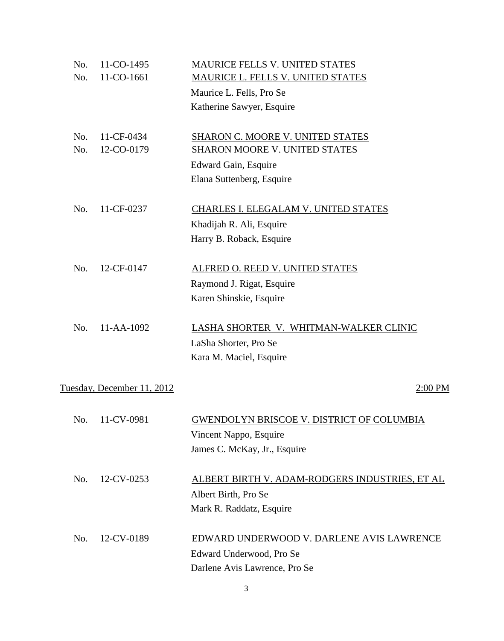| No.                                   | 11-CO-1495 | MAURICE FELLS V. UNITED STATES                   |  |  |
|---------------------------------------|------------|--------------------------------------------------|--|--|
| No.                                   | 11-CO-1661 | MAURICE L. FELLS V. UNITED STATES                |  |  |
|                                       |            | Maurice L. Fells, Pro Se                         |  |  |
|                                       |            | Katherine Sawyer, Esquire                        |  |  |
| No.                                   | 11-CF-0434 | SHARON C. MOORE V. UNITED STATES                 |  |  |
| No.                                   | 12-CO-0179 | SHARON MOORE V. UNITED STATES                    |  |  |
|                                       |            | Edward Gain, Esquire                             |  |  |
|                                       |            | Elana Suttenberg, Esquire                        |  |  |
| No.                                   | 11-CF-0237 | CHARLES I. ELEGALAM V. UNITED STATES             |  |  |
|                                       |            | Khadijah R. Ali, Esquire                         |  |  |
|                                       |            | Harry B. Roback, Esquire                         |  |  |
| No.                                   | 12-CF-0147 | ALFRED O. REED V. UNITED STATES                  |  |  |
|                                       |            | Raymond J. Rigat, Esquire                        |  |  |
|                                       |            | Karen Shinskie, Esquire                          |  |  |
| No.                                   | 11-AA-1092 | LASHA SHORTER V. WHITMAN-WALKER CLINIC           |  |  |
|                                       |            | LaSha Shorter, Pro Se                            |  |  |
|                                       |            | Kara M. Maciel, Esquire                          |  |  |
|                                       |            |                                                  |  |  |
| Tuesday, December 11, 2012<br>2:00 PM |            |                                                  |  |  |
| No.                                   | 11-CV-0981 | <u>GWENDOLYN BRISCOE V. DISTRICT OF COLUMBIA</u> |  |  |
|                                       |            | Vincent Nappo, Esquire                           |  |  |
|                                       |            | James C. McKay, Jr., Esquire                     |  |  |
|                                       |            |                                                  |  |  |
| No.                                   | 12-CV-0253 | ALBERT BIRTH V. ADAM-RODGERS INDUSTRIES, ET AL   |  |  |
|                                       |            | Albert Birth, Pro Se                             |  |  |
|                                       |            | Mark R. Raddatz, Esquire                         |  |  |
| No.                                   | 12-CV-0189 | EDWARD UNDERWOOD V. DARLENE AVIS LAWRENCE        |  |  |
|                                       |            | Edward Underwood, Pro Se                         |  |  |
|                                       |            | Darlene Avis Lawrence, Pro Se                    |  |  |
|                                       |            |                                                  |  |  |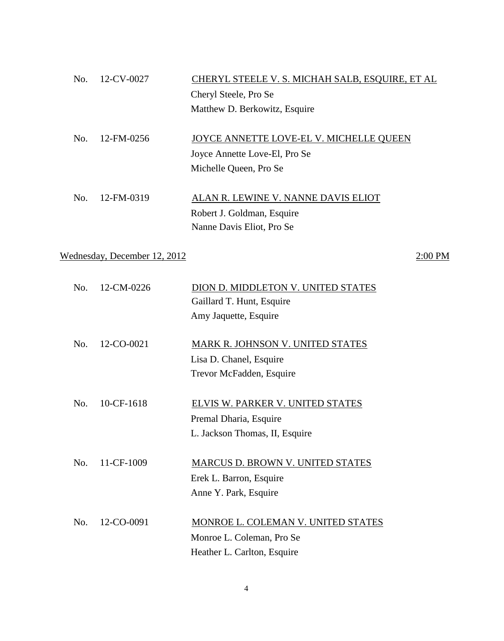| No. | $12$ -CV-0027 | CHERYL STEELE V. S. MICHAH SALB, ESQUIRE, ET AL |
|-----|---------------|-------------------------------------------------|
|     |               | Cheryl Steele, Pro Se                           |
|     |               | Matthew D. Berkowitz, Esquire                   |
|     |               |                                                 |
| No. | 12-FM-0256    | JOYCE ANNETTE LOVE-EL V. MICHELLE QUEEN         |
|     |               | Joyce Annette Love-El, Pro Se                   |
|     |               | Michelle Queen, Pro Se                          |
|     |               |                                                 |
| No. | 12-FM-0319    | ALAN R. LEWINE V. NANNE DAVIS ELIOT             |
|     |               | Robert J. Goldman, Esquire                      |
|     |               | Nanne Davis Eliot, Pro Se                       |
|     |               |                                                 |

Wednesday, December 12, 2012 2:00 PM

| No. | 12-CM-0226       | DION D. MIDDLETON V. UNITED STATES |
|-----|------------------|------------------------------------|
|     |                  | Gaillard T. Hunt, Esquire          |
|     |                  | Amy Jaquette, Esquire              |
|     |                  |                                    |
| No. | 12-CO-0021       | MARK R. JOHNSON V. UNITED STATES   |
|     |                  | Lisa D. Chanel, Esquire            |
|     |                  | Trevor McFadden, Esquire           |
|     |                  |                                    |
| No. | 10-CF-1618       | ELVIS W. PARKER V. UNITED STATES   |
|     |                  | Premal Dharia, Esquire             |
|     |                  | L. Jackson Thomas, II, Esquire     |
|     |                  |                                    |
| No. | $11 - CF - 1009$ | MARCUS D. BROWN V. UNITED STATES   |
|     |                  | Erek L. Barron, Esquire            |
|     |                  | Anne Y. Park, Esquire              |
|     |                  |                                    |
| No. | 12-CO-0091       | MONROE L. COLEMAN V. UNITED STATES |
|     |                  | Monroe L. Coleman, Pro Se          |
|     |                  | Heather L. Carlton, Esquire        |
|     |                  |                                    |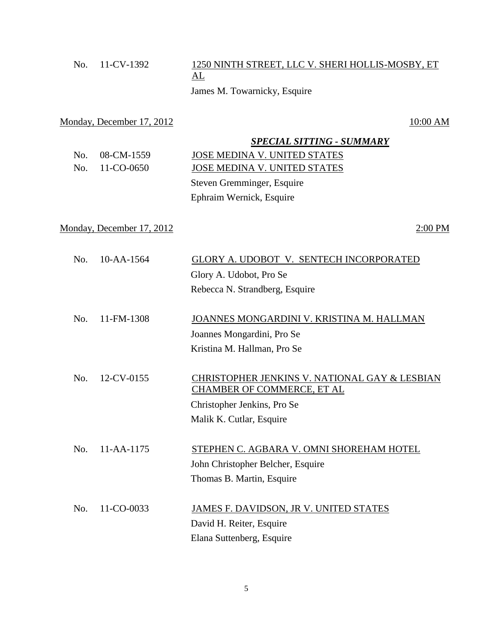| No. | 11-CV-1392                | 1250 NINTH STREET, LLC V. SHERI HOLLIS-MOSBY, ET<br>AL |
|-----|---------------------------|--------------------------------------------------------|
|     |                           | James M. Towarnicky, Esquire                           |
|     | Monday, December 17, 2012 | 10:00 AM                                               |
|     |                           | <b>SPECIAL SITTING - SUMMARY</b>                       |
| No. | 08-CM-1559                | <b>JOSE MEDINA V. UNITED STATES</b>                    |
| No. | 11-CO-0650                | JOSE MEDINA V. UNITED STATES                           |
|     |                           | Steven Gremminger, Esquire                             |
|     |                           | Ephraim Wernick, Esquire                               |
|     | Monday, December 17, 2012 | 2:00 PM                                                |
|     |                           |                                                        |
| No. | $10 - AA - 1564$          | GLORY A. UDOBOT V. SENTECH INCORPORATED                |
|     |                           | Glory A. Udobot, Pro Se                                |
|     |                           | Rebecca N. Strandberg, Esquire                         |
|     |                           |                                                        |
| No. | 11-FM-1308                | JOANNES MONGARDINI V. KRISTINA M. HALLMAN              |
|     |                           | Joannes Mongardini, Pro Se                             |
|     |                           | Kristina M. Hallman, Pro Se                            |
| No. | 12-CV-0155                | CHRISTOPHER JENKINS V. NATIONAL GAY & LESBIAN          |
|     |                           | <b>CHAMBER OF COMMERCE, ET AL</b>                      |
|     |                           | Christopher Jenkins, Pro Se                            |
|     |                           | Malik K. Cutlar, Esquire                               |
| No. | 11-AA-1175                | STEPHEN C. AGBARA V. OMNI SHOREHAM HOTEL               |
|     |                           | John Christopher Belcher, Esquire                      |
|     |                           | Thomas B. Martin, Esquire                              |
| No. | 11-CO-0033                | JAMES F. DAVIDSON, JR V. UNITED STATES                 |
|     |                           | David H. Reiter, Esquire                               |
|     |                           | Elana Suttenberg, Esquire                              |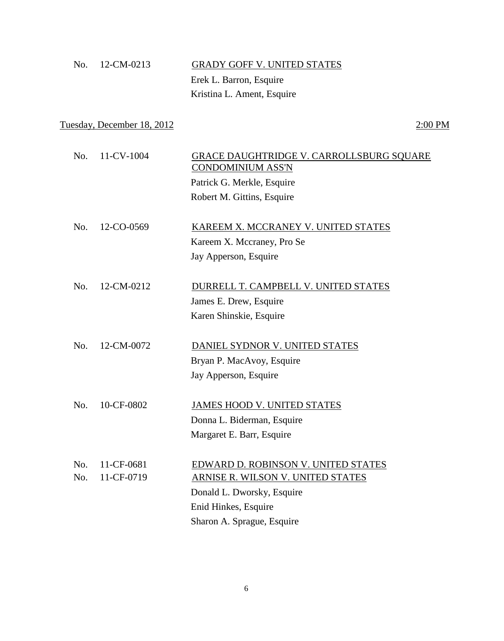| <b>GRADY GOFF V. UNITED STATES</b> |
|------------------------------------|
|                                    |
|                                    |
|                                    |

# Tuesday, December 18, 2012 2:00 PM

| No. | 11-CV-1004 | GRACE DAUGHTRIDGE V. CARROLLSBURG SQUARE<br><b>CONDOMINIUM ASS'N</b> |
|-----|------------|----------------------------------------------------------------------|
|     |            | Patrick G. Merkle, Esquire                                           |
|     |            | Robert M. Gittins, Esquire                                           |
| No. | 12-CO-0569 | KAREEM X. MCCRANEY V. UNITED STATES                                  |
|     |            | Kareem X. Mccraney, Pro Se                                           |
|     |            | Jay Apperson, Esquire                                                |
| No. | 12-CM-0212 | DURRELL T. CAMPBELL V. UNITED STATES                                 |
|     |            | James E. Drew, Esquire                                               |
|     |            | Karen Shinskie, Esquire                                              |
| No. | 12-CM-0072 | DANIEL SYDNOR V. UNITED STATES                                       |
|     |            |                                                                      |
|     |            | Bryan P. MacAvoy, Esquire                                            |
|     |            | Jay Apperson, Esquire                                                |
| No. | 10-CF-0802 | JAMES HOOD V. UNITED STATES                                          |
|     |            | Donna L. Biderman, Esquire                                           |
|     |            | Margaret E. Barr, Esquire                                            |
| No. | 11-CF-0681 | EDWARD D. ROBINSON V. UNITED STATES                                  |
| No. | 11-CF-0719 | ARNISE R. WILSON V. UNITED STATES                                    |
|     |            | Donald L. Dworsky, Esquire                                           |
|     |            | Enid Hinkes, Esquire                                                 |
|     |            | Sharon A. Sprague, Esquire                                           |
|     |            |                                                                      |

6